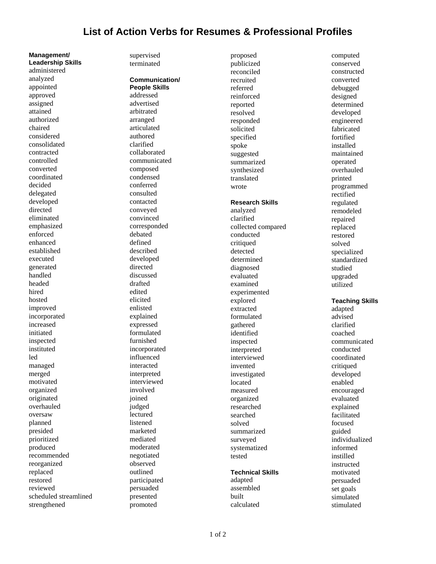## **List of Action Verbs for Resumes & Professional Profiles**

**Leadership Skills**  administered analyzed appointed approved assigned attained authorized chaired considered consolidated contracted controlled converted coordinated decided delegated developed directed eliminated emphasized enforced enhanced established executed generated handled headed hired hosted improved incorporated increased initiated inspected instituted led managed merged motivated organized originated overhauled oversaw planned presided prioritized produced recommended reorganized replaced restored reviewed scheduled streamlined strengthened

**Management/** 

supervised terminated

**Communication/ People Skills**  addressed advertised arbitrated arranged articulated authored clarified collaborated communicated composed condensed conferred consulted contacted conveyed convinced corresponded debated defined described developed directed discussed drafted edited elicited enlisted explained expressed formulated furnished incorporated influenced interacted interpreted interviewed involved joined judged lectured listened marketed mediated moderated negotiated observed outlined participated persuaded presented promoted

proposed publicized reconciled recruited referred reinforced reported resolved responded solicited specified spoke suggested summarized synthesized translated wrote **Research Skills**  analyzed clarified collected compared conducted critiqued detected determined diagnosed evaluated examined experimented explored extracted formulated gathered identified inspected interpreted interviewed invented investigated located measured organized researched searched solved summarized surveyed systematized tested

### **Technical Skills**

adapted assembled built calculated

conserved constructed converted debugged designed determined developed engineered fabricated fortified installed maintained operated overhauled printed programmed rectified regulated remodeled repaired replaced restored solved specialized standardized studied upgraded utilized

computed

**Teaching Skills** 

adapted advised clarified coached communicated conducted coordinated critiqued developed enabled encouraged evaluated explained facilitated focused guided individualized informed instilled instructed motivated persuaded set goals simulated stimulated